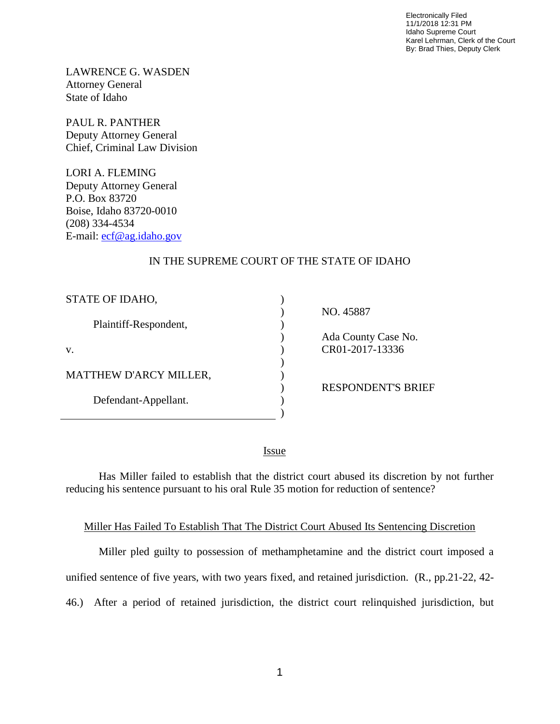Electronically Filed 11/1/2018 12:31 PM Idaho Supreme Court Karel Lehrman, Clerk of the Court By: Brad Thies, Deputy Clerk

LAWRENCE G. WASDEN Attorney General State of Idaho

PAUL R. PANTHER Deputy Attorney General Chief, Criminal Law Division

LORI A. FLEMING Deputy Attorney General P.O. Box 83720 Boise, Idaho 83720-0010 (208) 334-4534 E-mail: [ecf@ag.idaho.gov](mailto:ecf@ag.idaho.gov)

## IN THE SUPREME COURT OF THE STATE OF IDAHO

) ) ) ) ) ) ) ) ) )

| STATE OF IDAHO,               |
|-------------------------------|
| Plaintiff-Respondent,         |
| V.                            |
| <b>MATTHEW D'ARCY MILLER,</b> |
| Defendant-Appellant.          |

NO. 45887

 Ada County Case No. CR01-2017-13336

RESPONDENT'S BRIEF

<u>Issue</u>

Has Miller failed to establish that the district court abused its discretion by not further reducing his sentence pursuant to his oral Rule 35 motion for reduction of sentence?

## Miller Has Failed To Establish That The District Court Abused Its Sentencing Discretion

Miller pled guilty to possession of methamphetamine and the district court imposed a unified sentence of five years, with two years fixed, and retained jurisdiction. (R., pp.21-22, 42- 46.) After a period of retained jurisdiction, the district court relinquished jurisdiction, but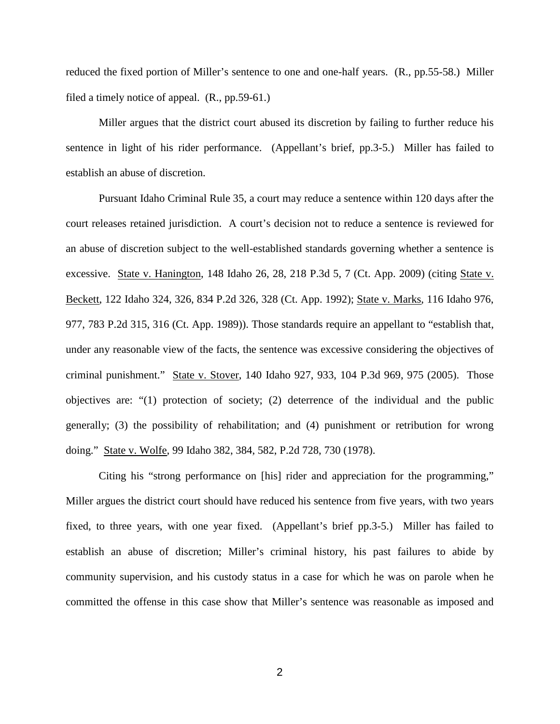reduced the fixed portion of Miller's sentence to one and one-half years. (R., pp.55-58.) Miller filed a timely notice of appeal. (R., pp.59-61.)

Miller argues that the district court abused its discretion by failing to further reduce his sentence in light of his rider performance. (Appellant's brief, pp.3-5.) Miller has failed to establish an abuse of discretion.

Pursuant Idaho Criminal Rule 35, a court may reduce a sentence within 120 days after the court releases retained jurisdiction. A court's decision not to reduce a sentence is reviewed for an abuse of discretion subject to the well-established standards governing whether a sentence is excessive. State v. Hanington, 148 Idaho 26, 28, 218 P.3d 5, 7 (Ct. App. 2009) (citing State v. Beckett, 122 Idaho 324, 326, 834 P.2d 326, 328 (Ct. App. 1992); State v. Marks, 116 Idaho 976, 977, 783 P.2d 315, 316 (Ct. App. 1989)). Those standards require an appellant to "establish that, under any reasonable view of the facts, the sentence was excessive considering the objectives of criminal punishment." State v. Stover, 140 Idaho 927, 933, 104 P.3d 969, 975 (2005). Those objectives are: "(1) protection of society; (2) deterrence of the individual and the public generally; (3) the possibility of rehabilitation; and (4) punishment or retribution for wrong doing." State v. Wolfe, 99 Idaho 382, 384, 582, P.2d 728, 730 (1978).

Citing his "strong performance on [his] rider and appreciation for the programming," Miller argues the district court should have reduced his sentence from five years, with two years fixed, to three years, with one year fixed. (Appellant's brief pp.3-5.) Miller has failed to establish an abuse of discretion; Miller's criminal history, his past failures to abide by community supervision, and his custody status in a case for which he was on parole when he committed the offense in this case show that Miller's sentence was reasonable as imposed and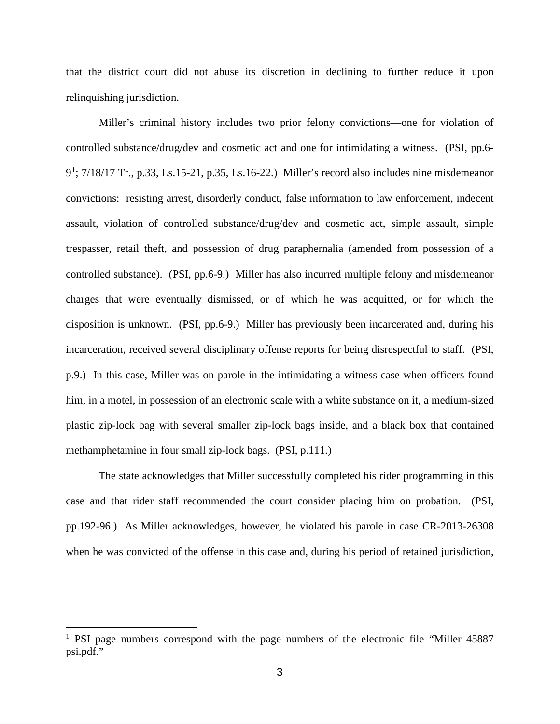that the district court did not abuse its discretion in declining to further reduce it upon relinquishing jurisdiction.

Miller's criminal history includes two prior felony convictions—one for violation of controlled substance/drug/dev and cosmetic act and one for intimidating a witness. (PSI, pp.6- 9<sup>[1](#page--1-0)</sup>; 7/18/17 Tr., p.33, Ls.15-21, p.35, Ls.16-22.) Miller's record also includes nine misdemeanor convictions: resisting arrest, disorderly conduct, false information to law enforcement, indecent assault, violation of controlled substance/drug/dev and cosmetic act, simple assault, simple trespasser, retail theft, and possession of drug paraphernalia (amended from possession of a controlled substance). (PSI, pp.6-9.) Miller has also incurred multiple felony and misdemeanor charges that were eventually dismissed, or of which he was acquitted, or for which the disposition is unknown. (PSI, pp.6-9.) Miller has previously been incarcerated and, during his incarceration, received several disciplinary offense reports for being disrespectful to staff. (PSI, p.9.) In this case, Miller was on parole in the intimidating a witness case when officers found him, in a motel, in possession of an electronic scale with a white substance on it, a medium-sized plastic zip-lock bag with several smaller zip-lock bags inside, and a black box that contained methamphetamine in four small zip-lock bags. (PSI, p.111.)

The state acknowledges that Miller successfully completed his rider programming in this case and that rider staff recommended the court consider placing him on probation. (PSI, pp.192-96.) As Miller acknowledges, however, he violated his parole in case CR-2013-26308 when he was convicted of the offense in this case and, during his period of retained jurisdiction,

 $\overline{a}$ 

<sup>&</sup>lt;sup>1</sup> PSI page numbers correspond with the page numbers of the electronic file "Miller 45887" psi.pdf."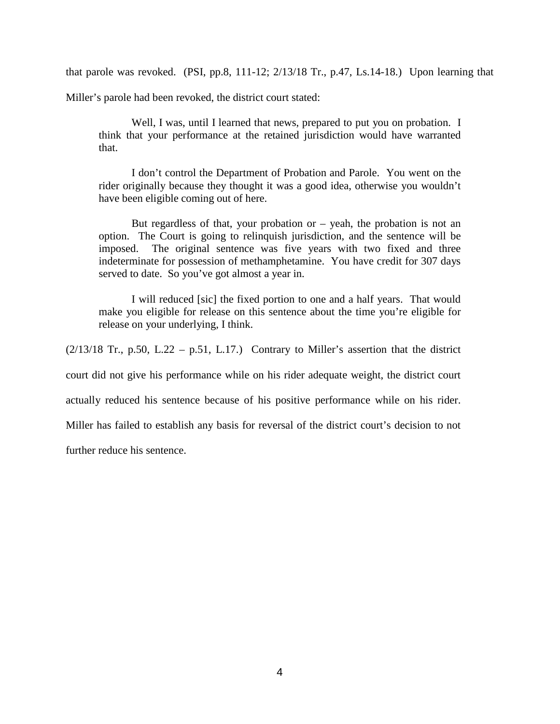that parole was revoked. (PSI, pp.8, 111-12; 2/13/18 Tr., p.47, Ls.14-18.) Upon learning that

Miller's parole had been revoked, the district court stated:

Well, I was, until I learned that news, prepared to put you on probation. I think that your performance at the retained jurisdiction would have warranted that.

I don't control the Department of Probation and Parole. You went on the rider originally because they thought it was a good idea, otherwise you wouldn't have been eligible coming out of here.

But regardless of that, your probation or  $-$  yeah, the probation is not an option. The Court is going to relinquish jurisdiction, and the sentence will be imposed. The original sentence was five years with two fixed and three indeterminate for possession of methamphetamine. You have credit for 307 days served to date. So you've got almost a year in.

I will reduced [sic] the fixed portion to one and a half years. That would make you eligible for release on this sentence about the time you're eligible for release on your underlying, I think.

 $(2/13/18$  Tr., p.50, L.22 – p.51, L.17.) Contrary to Miller's assertion that the district

court did not give his performance while on his rider adequate weight, the district court

actually reduced his sentence because of his positive performance while on his rider.

Miller has failed to establish any basis for reversal of the district court's decision to not

further reduce his sentence.